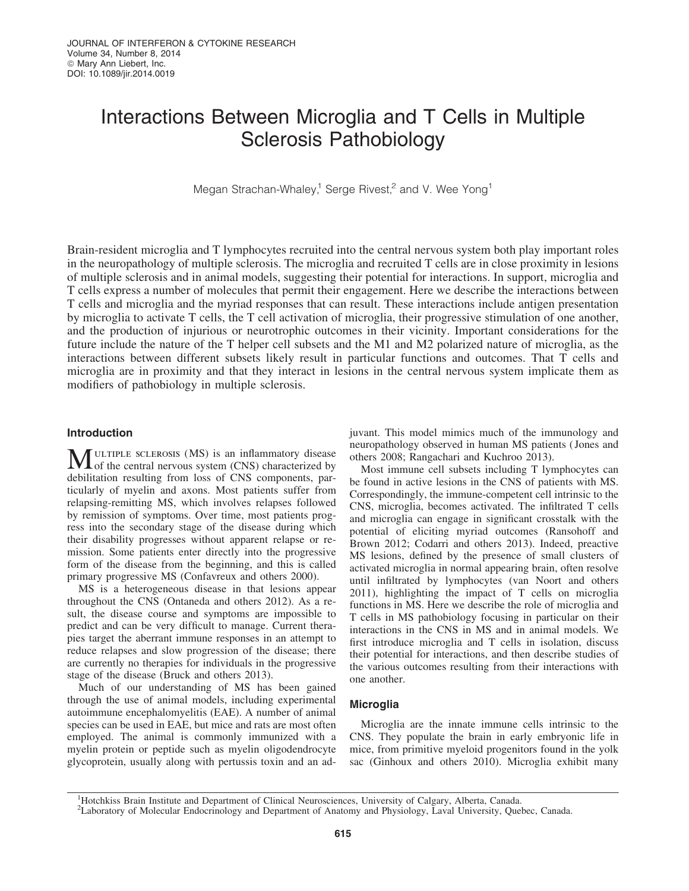# Interactions Between Microglia and T Cells in Multiple Sclerosis Pathobiology

Megan Strachan-Whaley,<sup>1</sup> Serge Rivest,<sup>2</sup> and V. Wee Yong<sup>1</sup>

Brain-resident microglia and T lymphocytes recruited into the central nervous system both play important roles in the neuropathology of multiple sclerosis. The microglia and recruited T cells are in close proximity in lesions of multiple sclerosis and in animal models, suggesting their potential for interactions. In support, microglia and T cells express a number of molecules that permit their engagement. Here we describe the interactions between T cells and microglia and the myriad responses that can result. These interactions include antigen presentation by microglia to activate T cells, the T cell activation of microglia, their progressive stimulation of one another, and the production of injurious or neurotrophic outcomes in their vicinity. Important considerations for the future include the nature of the T helper cell subsets and the M1 and M2 polarized nature of microglia, as the interactions between different subsets likely result in particular functions and outcomes. That T cells and microglia are in proximity and that they interact in lesions in the central nervous system implicate them as modifiers of pathobiology in multiple sclerosis.

## Introduction

MULTIPLE SCLEROSIS (MS) is an inflammatory disease<br>of the central nervous system (CNS) characterized by debilitation resulting from loss of CNS components, particularly of myelin and axons. Most patients suffer from relapsing-remitting MS, which involves relapses followed by remission of symptoms. Over time, most patients progress into the secondary stage of the disease during which their disability progresses without apparent relapse or remission. Some patients enter directly into the progressive form of the disease from the beginning, and this is called primary progressive MS (Confavreux and others 2000).

MS is a heterogeneous disease in that lesions appear throughout the CNS (Ontaneda and others 2012). As a result, the disease course and symptoms are impossible to predict and can be very difficult to manage. Current therapies target the aberrant immune responses in an attempt to reduce relapses and slow progression of the disease; there are currently no therapies for individuals in the progressive stage of the disease (Bruck and others 2013).

Much of our understanding of MS has been gained through the use of animal models, including experimental autoimmune encephalomyelitis (EAE). A number of animal species can be used in EAE, but mice and rats are most often employed. The animal is commonly immunized with a myelin protein or peptide such as myelin oligodendrocyte glycoprotein, usually along with pertussis toxin and an adjuvant. This model mimics much of the immunology and neuropathology observed in human MS patients ( Jones and others 2008; Rangachari and Kuchroo 2013).

Most immune cell subsets including T lymphocytes can be found in active lesions in the CNS of patients with MS. Correspondingly, the immune-competent cell intrinsic to the CNS, microglia, becomes activated. The infiltrated T cells and microglia can engage in significant crosstalk with the potential of eliciting myriad outcomes (Ransohoff and Brown 2012; Codarri and others 2013). Indeed, preactive MS lesions, defined by the presence of small clusters of activated microglia in normal appearing brain, often resolve until infiltrated by lymphocytes (van Noort and others 2011), highlighting the impact of T cells on microglia functions in MS. Here we describe the role of microglia and T cells in MS pathobiology focusing in particular on their interactions in the CNS in MS and in animal models. We first introduce microglia and T cells in isolation, discuss their potential for interactions, and then describe studies of the various outcomes resulting from their interactions with one another.

# **Microglia**

Microglia are the innate immune cells intrinsic to the CNS. They populate the brain in early embryonic life in mice, from primitive myeloid progenitors found in the yolk sac (Ginhoux and others 2010). Microglia exhibit many

<sup>&</sup>lt;sup>1</sup>Hotchkiss Brain Institute and Department of Clinical Neurosciences, University of Calgary, Alberta, Canada.

<sup>&</sup>lt;sup>2</sup>Laboratory of Molecular Endocrinology and Department of Anatomy and Physiology, Laval University, Quebec, Canada.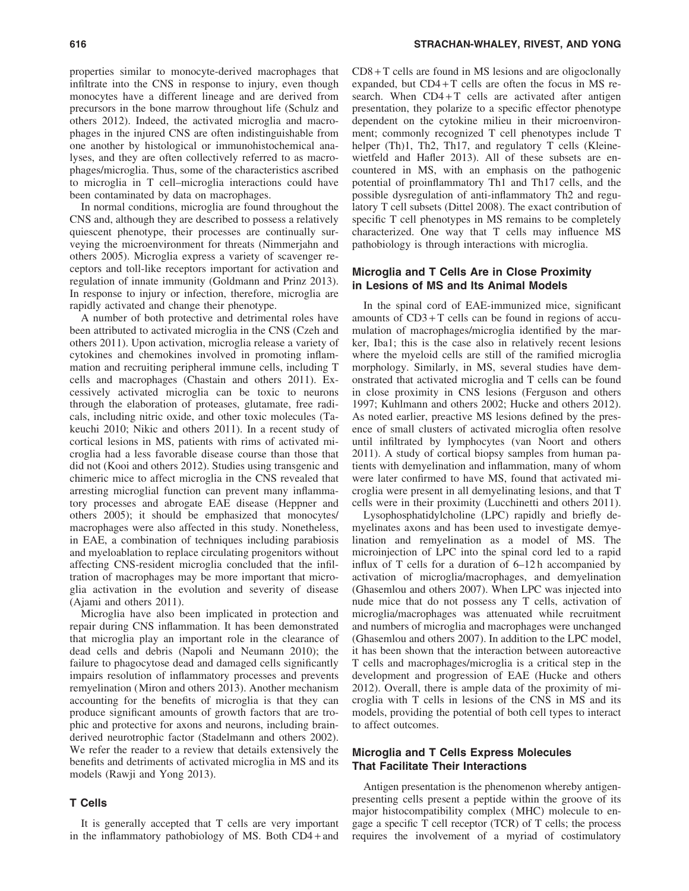properties similar to monocyte-derived macrophages that infiltrate into the CNS in response to injury, even though monocytes have a different lineage and are derived from precursors in the bone marrow throughout life (Schulz and others 2012). Indeed, the activated microglia and macrophages in the injured CNS are often indistinguishable from one another by histological or immunohistochemical analyses, and they are often collectively referred to as macrophages/microglia. Thus, some of the characteristics ascribed to microglia in T cell–microglia interactions could have been contaminated by data on macrophages.

In normal conditions, microglia are found throughout the CNS and, although they are described to possess a relatively quiescent phenotype, their processes are continually surveying the microenvironment for threats (Nimmerjahn and others 2005). Microglia express a variety of scavenger receptors and toll-like receptors important for activation and regulation of innate immunity (Goldmann and Prinz 2013). In response to injury or infection, therefore, microglia are rapidly activated and change their phenotype.

A number of both protective and detrimental roles have been attributed to activated microglia in the CNS (Czeh and others 2011). Upon activation, microglia release a variety of cytokines and chemokines involved in promoting inflammation and recruiting peripheral immune cells, including T cells and macrophages (Chastain and others 2011). Excessively activated microglia can be toxic to neurons through the elaboration of proteases, glutamate, free radicals, including nitric oxide, and other toxic molecules (Takeuchi 2010; Nikic and others 2011). In a recent study of cortical lesions in MS, patients with rims of activated microglia had a less favorable disease course than those that did not (Kooi and others 2012). Studies using transgenic and chimeric mice to affect microglia in the CNS revealed that arresting microglial function can prevent many inflammatory processes and abrogate EAE disease (Heppner and others 2005); it should be emphasized that monocytes/ macrophages were also affected in this study. Nonetheless, in EAE, a combination of techniques including parabiosis and myeloablation to replace circulating progenitors without affecting CNS-resident microglia concluded that the infiltration of macrophages may be more important that microglia activation in the evolution and severity of disease (Ajami and others 2011).

Microglia have also been implicated in protection and repair during CNS inflammation. It has been demonstrated that microglia play an important role in the clearance of dead cells and debris (Napoli and Neumann 2010); the failure to phagocytose dead and damaged cells significantly impairs resolution of inflammatory processes and prevents remyelination (Miron and others 2013). Another mechanism accounting for the benefits of microglia is that they can produce significant amounts of growth factors that are trophic and protective for axons and neurons, including brainderived neurotrophic factor (Stadelmann and others 2002). We refer the reader to a review that details extensively the benefits and detriments of activated microglia in MS and its models (Rawji and Yong 2013).

## T Cells

It is generally accepted that T cells are very important in the inflammatory pathobiology of MS. Both CD4 + and  $CD8 + T$  cells are found in MS lesions and are oligoclonally expanded, but  $CD4+T$  cells are often the focus in MS research. When  $CD4+T$  cells are activated after antigen presentation, they polarize to a specific effector phenotype dependent on the cytokine milieu in their microenvironment; commonly recognized T cell phenotypes include T helper (Th)1, Th2, Th17, and regulatory T cells (Kleinewietfeld and Hafler 2013). All of these subsets are encountered in MS, with an emphasis on the pathogenic potential of proinflammatory Th1 and Th17 cells, and the possible dysregulation of anti-inflammatory Th2 and regulatory T cell subsets (Dittel 2008). The exact contribution of specific T cell phenotypes in MS remains to be completely characterized. One way that T cells may influence MS pathobiology is through interactions with microglia.

## Microglia and T Cells Are in Close Proximity in Lesions of MS and Its Animal Models

In the spinal cord of EAE-immunized mice, significant amounts of  $CD3+T$  cells can be found in regions of accumulation of macrophages/microglia identified by the marker, Iba1; this is the case also in relatively recent lesions where the myeloid cells are still of the ramified microglia morphology. Similarly, in MS, several studies have demonstrated that activated microglia and T cells can be found in close proximity in CNS lesions (Ferguson and others 1997; Kuhlmann and others 2002; Hucke and others 2012). As noted earlier, preactive MS lesions defined by the presence of small clusters of activated microglia often resolve until infiltrated by lymphocytes (van Noort and others 2011). A study of cortical biopsy samples from human patients with demyelination and inflammation, many of whom were later confirmed to have MS, found that activated microglia were present in all demyelinating lesions, and that T cells were in their proximity (Lucchinetti and others 2011).

Lysophosphatidylcholine (LPC) rapidly and briefly demyelinates axons and has been used to investigate demyelination and remyelination as a model of MS. The microinjection of LPC into the spinal cord led to a rapid influx of T cells for a duration of 6–12 h accompanied by activation of microglia/macrophages, and demyelination (Ghasemlou and others 2007). When LPC was injected into nude mice that do not possess any T cells, activation of microglia/macrophages was attenuated while recruitment and numbers of microglia and macrophages were unchanged (Ghasemlou and others 2007). In addition to the LPC model, it has been shown that the interaction between autoreactive T cells and macrophages/microglia is a critical step in the development and progression of EAE (Hucke and others 2012). Overall, there is ample data of the proximity of microglia with T cells in lesions of the CNS in MS and its models, providing the potential of both cell types to interact to affect outcomes.

# Microglia and T Cells Express Molecules That Facilitate Their Interactions

Antigen presentation is the phenomenon whereby antigenpresenting cells present a peptide within the groove of its major histocompatibility complex (MHC) molecule to engage a specific T cell receptor (TCR) of T cells; the process requires the involvement of a myriad of costimulatory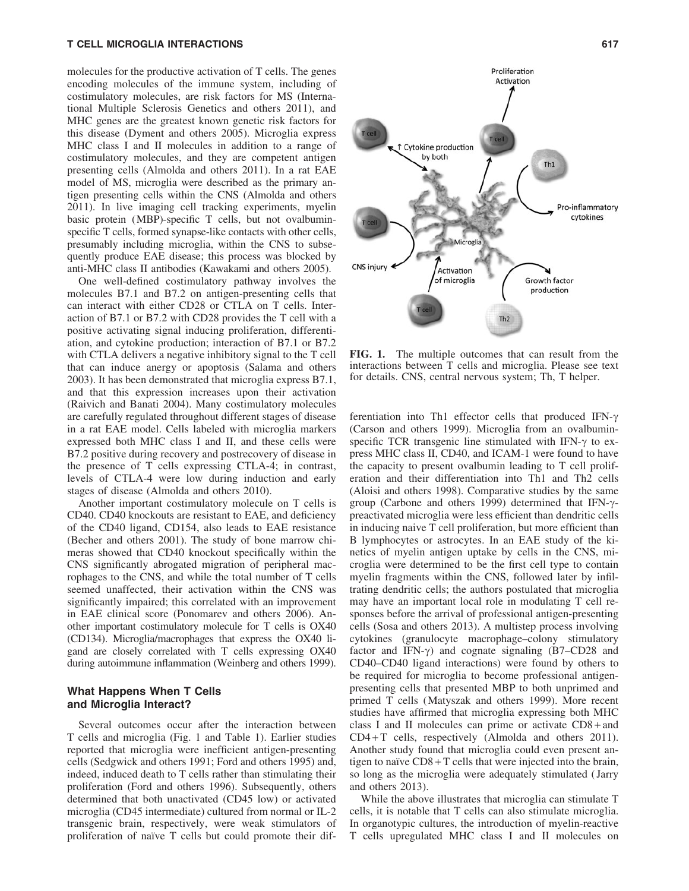molecules for the productive activation of T cells. The genes encoding molecules of the immune system, including of costimulatory molecules, are risk factors for MS (International Multiple Sclerosis Genetics and others 2011), and MHC genes are the greatest known genetic risk factors for this disease (Dyment and others 2005). Microglia express MHC class I and II molecules in addition to a range of costimulatory molecules, and they are competent antigen presenting cells (Almolda and others 2011). In a rat EAE model of MS, microglia were described as the primary antigen presenting cells within the CNS (Almolda and others 2011). In live imaging cell tracking experiments, myelin basic protein (MBP)-specific T cells, but not ovalbuminspecific T cells, formed synapse-like contacts with other cells, presumably including microglia, within the CNS to subsequently produce EAE disease; this process was blocked by anti-MHC class II antibodies (Kawakami and others 2005).

One well-defined costimulatory pathway involves the molecules B7.1 and B7.2 on antigen-presenting cells that can interact with either CD28 or CTLA on T cells. Interaction of B7.1 or B7.2 with CD28 provides the T cell with a positive activating signal inducing proliferation, differentiation, and cytokine production; interaction of B7.1 or B7.2 with CTLA delivers a negative inhibitory signal to the T cell that can induce anergy or apoptosis (Salama and others 2003). It has been demonstrated that microglia express B7.1, and that this expression increases upon their activation (Raivich and Banati 2004). Many costimulatory molecules are carefully regulated throughout different stages of disease in a rat EAE model. Cells labeled with microglia markers expressed both MHC class I and II, and these cells were B7.2 positive during recovery and postrecovery of disease in the presence of T cells expressing CTLA-4; in contrast, levels of CTLA-4 were low during induction and early stages of disease (Almolda and others 2010).

Another important costimulatory molecule on T cells is CD40. CD40 knockouts are resistant to EAE, and deficiency of the CD40 ligand, CD154, also leads to EAE resistance (Becher and others 2001). The study of bone marrow chimeras showed that CD40 knockout specifically within the CNS significantly abrogated migration of peripheral macrophages to the CNS, and while the total number of T cells seemed unaffected, their activation within the CNS was significantly impaired; this correlated with an improvement in EAE clinical score (Ponomarev and others 2006). Another important costimulatory molecule for T cells is OX40 (CD134). Microglia/macrophages that express the OX40 ligand are closely correlated with T cells expressing OX40 during autoimmune inflammation (Weinberg and others 1999).

# What Happens When T Cells and Microglia Interact?

Several outcomes occur after the interaction between T cells and microglia (Fig. 1 and Table 1). Earlier studies reported that microglia were inefficient antigen-presenting cells (Sedgwick and others 1991; Ford and others 1995) and, indeed, induced death to T cells rather than stimulating their proliferation (Ford and others 1996). Subsequently, others determined that both unactivated (CD45 low) or activated microglia (CD45 intermediate) cultured from normal or IL-2 transgenic brain, respectively, were weak stimulators of proliferation of naïve T cells but could promote their dif-



FIG. 1. The multiple outcomes that can result from the interactions between T cells and microglia. Please see text for details. CNS, central nervous system; Th, T helper.

ferentiation into Th1 effector cells that produced IFN- $\gamma$ (Carson and others 1999). Microglia from an ovalbuminspecific TCR transgenic line stimulated with IFN- $\gamma$  to express MHC class II, CD40, and ICAM-1 were found to have the capacity to present ovalbumin leading to T cell proliferation and their differentiation into Th1 and Th2 cells (Aloisi and others 1998). Comparative studies by the same group (Carbone and others 1999) determined that IFN- $\gamma$ preactivated microglia were less efficient than dendritic cells in inducing naive T cell proliferation, but more efficient than B lymphocytes or astrocytes. In an EAE study of the kinetics of myelin antigen uptake by cells in the CNS, microglia were determined to be the first cell type to contain myelin fragments within the CNS, followed later by infiltrating dendritic cells; the authors postulated that microglia may have an important local role in modulating T cell responses before the arrival of professional antigen-presenting cells (Sosa and others 2013). A multistep process involving cytokines (granulocyte macrophage–colony stimulatory factor and IFN- $\gamma$ ) and cognate signaling (B7–CD28 and CD40–CD40 ligand interactions) were found by others to be required for microglia to become professional antigenpresenting cells that presented MBP to both unprimed and primed T cells (Matyszak and others 1999). More recent studies have affirmed that microglia expressing both MHC class I and II molecules can prime or activate CD8 + and CD4+T cells, respectively (Almolda and others 2011). Another study found that microglia could even present antigen to naïve  $CD8 + T$  cells that were injected into the brain, so long as the microglia were adequately stimulated ( Jarry and others 2013).

While the above illustrates that microglia can stimulate T cells, it is notable that T cells can also stimulate microglia. In organotypic cultures, the introduction of myelin-reactive T cells upregulated MHC class I and II molecules on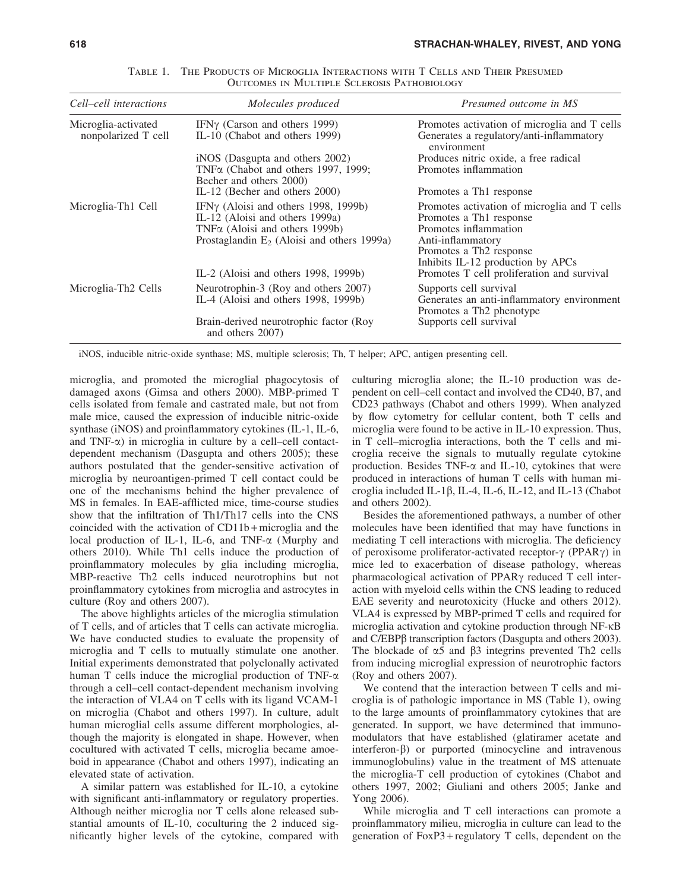| Cell–cell interactions                     | Molecules produced                                                                                                                                                                                               | Presumed outcome in MS                                                                                                                                                                                                                                      |
|--------------------------------------------|------------------------------------------------------------------------------------------------------------------------------------------------------------------------------------------------------------------|-------------------------------------------------------------------------------------------------------------------------------------------------------------------------------------------------------------------------------------------------------------|
| Microglia-activated<br>nonpolarized T cell | IFN $\gamma$ (Carson and others 1999)<br>IL-10 (Chabot and others 1999)                                                                                                                                          | Promotes activation of microglia and T cells<br>Generates a regulatory/anti-inflammatory<br>environment                                                                                                                                                     |
|                                            | iNOS (Dasgupta and others 2002)<br>TNF <sub><math>\alpha</math></sub> (Chabot and others 1997, 1999;<br>Becher and others 2000)                                                                                  | Produces nitric oxide, a free radical<br>Promotes inflammation                                                                                                                                                                                              |
|                                            | IL-12 (Becher and others 2000)                                                                                                                                                                                   | Promotes a Th <sub>1</sub> response                                                                                                                                                                                                                         |
| Microglia-Th1 Cell                         | IFN $\gamma$ (Aloisi and others 1998, 1999b)<br>IL-12 (Aloisi and others 1999a)<br>TNFα (Aloisi and others 1999b)<br>Prostaglandin $E_2$ (Aloisi and others 1999a)<br>IL-2 (Aloisi and others $1998$ , $1999b$ ) | Promotes activation of microglia and T cells<br>Promotes a Th <sub>1</sub> response<br>Promotes inflammation<br>Anti-inflammatory<br>Promotes a Th <sub>2</sub> response<br>Inhibits IL-12 production by APCs<br>Promotes T cell proliferation and survival |
| Microglia-Th <sub>2</sub> Cells            | Neurotrophin-3 (Roy and others 2007)<br>IL-4 (Aloisi and others 1998, 1999b)                                                                                                                                     | Supports cell survival<br>Generates an anti-inflammatory environment<br>Promotes a Th <sub>2</sub> phenotype                                                                                                                                                |
|                                            | Brain-derived neurotrophic factor (Roy<br>and others 2007)                                                                                                                                                       | Supports cell survival                                                                                                                                                                                                                                      |

Table 1. The Products of Microglia Interactions with T Cells and Their Presumed Outcomes in Multiple Sclerosis Pathobiology

iNOS, inducible nitric-oxide synthase; MS, multiple sclerosis; Th, T helper; APC, antigen presenting cell.

microglia, and promoted the microglial phagocytosis of damaged axons (Gimsa and others 2000). MBP-primed T cells isolated from female and castrated male, but not from male mice, caused the expression of inducible nitric-oxide synthase (iNOS) and proinflammatory cytokines (IL-1, IL-6, and  $TNF-\alpha$ ) in microglia in culture by a cell–cell contactdependent mechanism (Dasgupta and others 2005); these authors postulated that the gender-sensitive activation of microglia by neuroantigen-primed T cell contact could be one of the mechanisms behind the higher prevalence of MS in females. In EAE-afflicted mice, time-course studies show that the infiltration of Th1/Th17 cells into the CNS coincided with the activation of CD11b + microglia and the local production of IL-1, IL-6, and TNF- $\alpha$  (Murphy and others 2010). While Th1 cells induce the production of proinflammatory molecules by glia including microglia, MBP-reactive Th2 cells induced neurotrophins but not proinflammatory cytokines from microglia and astrocytes in culture (Roy and others 2007).

The above highlights articles of the microglia stimulation of T cells, and of articles that T cells can activate microglia. We have conducted studies to evaluate the propensity of microglia and T cells to mutually stimulate one another. Initial experiments demonstrated that polyclonally activated human T cells induce the microglial production of  $TNF-\alpha$ through a cell–cell contact-dependent mechanism involving the interaction of VLA4 on T cells with its ligand VCAM-1 on microglia (Chabot and others 1997). In culture, adult human microglial cells assume different morphologies, although the majority is elongated in shape. However, when cocultured with activated T cells, microglia became amoeboid in appearance (Chabot and others 1997), indicating an elevated state of activation.

A similar pattern was established for IL-10, a cytokine with significant anti-inflammatory or regulatory properties. Although neither microglia nor T cells alone released substantial amounts of IL-10, coculturing the 2 induced significantly higher levels of the cytokine, compared with culturing microglia alone; the IL-10 production was dependent on cell–cell contact and involved the CD40, B7, and CD23 pathways (Chabot and others 1999). When analyzed by flow cytometry for cellular content, both T cells and microglia were found to be active in IL-10 expression. Thus, in T cell–microglia interactions, both the T cells and microglia receive the signals to mutually regulate cytokine production. Besides TNF- $\alpha$  and IL-10, cytokines that were produced in interactions of human T cells with human microglia included IL-1 $\beta$ , IL-4, IL-6, IL-12, and IL-13 (Chabot and others 2002).

Besides the aforementioned pathways, a number of other molecules have been identified that may have functions in mediating T cell interactions with microglia. The deficiency of peroxisome proliferator-activated receptor- $\gamma$  (PPAR $\gamma$ ) in mice led to exacerbation of disease pathology, whereas pharmacological activation of PPAR<sub>Y</sub> reduced T cell interaction with myeloid cells within the CNS leading to reduced EAE severity and neurotoxicity (Hucke and others 2012). VLA4 is expressed by MBP-primed T cells and required for microglia activation and cytokine production through NF-kB and C/EBP $\beta$  transcription factors (Dasgupta and others 2003). The blockade of  $\alpha$ 5 and  $\beta$ 3 integrins prevented Th2 cells from inducing microglial expression of neurotrophic factors (Roy and others 2007).

We contend that the interaction between T cells and microglia is of pathologic importance in MS (Table 1), owing to the large amounts of proinflammatory cytokines that are generated. In support, we have determined that immunomodulators that have established (glatiramer acetate and  $interferon- $\beta$  or purported (minocyclic and intravenous)$ immunoglobulins) value in the treatment of MS attenuate the microglia-T cell production of cytokines (Chabot and others 1997, 2002; Giuliani and others 2005; Janke and Yong 2006).

While microglia and T cell interactions can promote a proinflammatory milieu, microglia in culture can lead to the generation of FoxP3 + regulatory T cells, dependent on the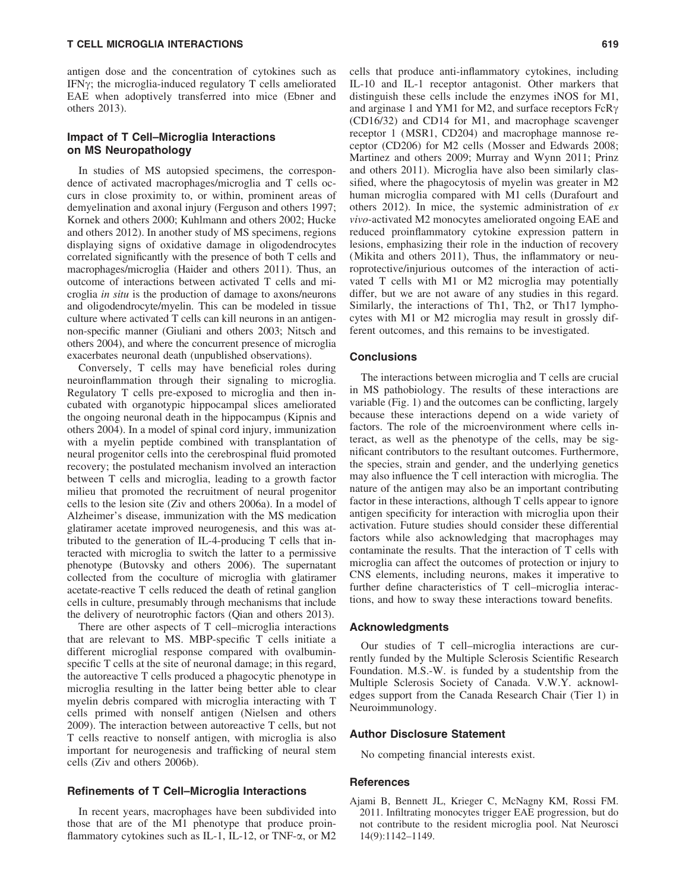#### T CELL MICROGLIA INTERACTIONS 619

antigen dose and the concentration of cytokines such as IFN $\gamma$ ; the microglia-induced regulatory T cells ameliorated EAE when adoptively transferred into mice (Ebner and others 2013).

# Impact of T Cell–Microglia Interactions on MS Neuropathology

In studies of MS autopsied specimens, the correspondence of activated macrophages/microglia and T cells occurs in close proximity to, or within, prominent areas of demyelination and axonal injury (Ferguson and others 1997; Kornek and others 2000; Kuhlmann and others 2002; Hucke and others 2012). In another study of MS specimens, regions displaying signs of oxidative damage in oligodendrocytes correlated significantly with the presence of both T cells and macrophages/microglia (Haider and others 2011). Thus, an outcome of interactions between activated T cells and microglia *in situ* is the production of damage to axons/neurons and oligodendrocyte/myelin. This can be modeled in tissue culture where activated T cells can kill neurons in an antigennon-specific manner (Giuliani and others 2003; Nitsch and others 2004), and where the concurrent presence of microglia exacerbates neuronal death (unpublished observations).

Conversely, T cells may have beneficial roles during neuroinflammation through their signaling to microglia. Regulatory T cells pre-exposed to microglia and then incubated with organotypic hippocampal slices ameliorated the ongoing neuronal death in the hippocampus (Kipnis and others 2004). In a model of spinal cord injury, immunization with a myelin peptide combined with transplantation of neural progenitor cells into the cerebrospinal fluid promoted recovery; the postulated mechanism involved an interaction between T cells and microglia, leading to a growth factor milieu that promoted the recruitment of neural progenitor cells to the lesion site (Ziv and others 2006a). In a model of Alzheimer's disease, immunization with the MS medication glatiramer acetate improved neurogenesis, and this was attributed to the generation of IL-4-producing T cells that interacted with microglia to switch the latter to a permissive phenotype (Butovsky and others 2006). The supernatant collected from the coculture of microglia with glatiramer acetate-reactive T cells reduced the death of retinal ganglion cells in culture, presumably through mechanisms that include the delivery of neurotrophic factors (Qian and others 2013).

There are other aspects of T cell–microglia interactions that are relevant to MS. MBP-specific T cells initiate a different microglial response compared with ovalbuminspecific T cells at the site of neuronal damage; in this regard, the autoreactive T cells produced a phagocytic phenotype in microglia resulting in the latter being better able to clear myelin debris compared with microglia interacting with T cells primed with nonself antigen (Nielsen and others 2009). The interaction between autoreactive T cells, but not T cells reactive to nonself antigen, with microglia is also important for neurogenesis and trafficking of neural stem cells (Ziv and others 2006b).

### Refinements of T Cell–Microglia Interactions

In recent years, macrophages have been subdivided into those that are of the M1 phenotype that produce proinflammatory cytokines such as IL-1, IL-12, or TNF- $\alpha$ , or M2 cells that produce anti-inflammatory cytokines, including IL-10 and IL-1 receptor antagonist. Other markers that distinguish these cells include the enzymes iNOS for M1, and arginase 1 and YM1 for M2, and surface receptors  $FcR\gamma$ (CD16/32) and CD14 for M1, and macrophage scavenger receptor 1 (MSR1, CD204) and macrophage mannose receptor (CD206) for M2 cells (Mosser and Edwards 2008; Martinez and others 2009; Murray and Wynn 2011; Prinz and others 2011). Microglia have also been similarly classified, where the phagocytosis of myelin was greater in M2 human microglia compared with M1 cells (Durafourt and others 2012). In mice, the systemic administration of *ex vivo*-activated M2 monocytes ameliorated ongoing EAE and reduced proinflammatory cytokine expression pattern in lesions, emphasizing their role in the induction of recovery (Mikita and others 2011), Thus, the inflammatory or neuroprotective/injurious outcomes of the interaction of activated T cells with M1 or M2 microglia may potentially differ, but we are not aware of any studies in this regard. Similarly, the interactions of Th1, Th2, or Th17 lymphocytes with M1 or M2 microglia may result in grossly different outcomes, and this remains to be investigated.

#### **Conclusions**

The interactions between microglia and T cells are crucial in MS pathobiology. The results of these interactions are variable (Fig. 1) and the outcomes can be conflicting, largely because these interactions depend on a wide variety of factors. The role of the microenvironment where cells interact, as well as the phenotype of the cells, may be significant contributors to the resultant outcomes. Furthermore, the species, strain and gender, and the underlying genetics may also influence the T cell interaction with microglia. The nature of the antigen may also be an important contributing factor in these interactions, although T cells appear to ignore antigen specificity for interaction with microglia upon their activation. Future studies should consider these differential factors while also acknowledging that macrophages may contaminate the results. That the interaction of T cells with microglia can affect the outcomes of protection or injury to CNS elements, including neurons, makes it imperative to further define characteristics of T cell–microglia interactions, and how to sway these interactions toward benefits.

#### Acknowledgments

Our studies of T cell–microglia interactions are currently funded by the Multiple Sclerosis Scientific Research Foundation. M.S.-W. is funded by a studentship from the Multiple Sclerosis Society of Canada. V.W.Y. acknowledges support from the Canada Research Chair (Tier 1) in Neuroimmunology.

#### Author Disclosure Statement

No competing financial interests exist.

#### References

Ajami B, Bennett JL, Krieger C, McNagny KM, Rossi FM. 2011. Infiltrating monocytes trigger EAE progression, but do not contribute to the resident microglia pool. Nat Neurosci 14(9):1142–1149.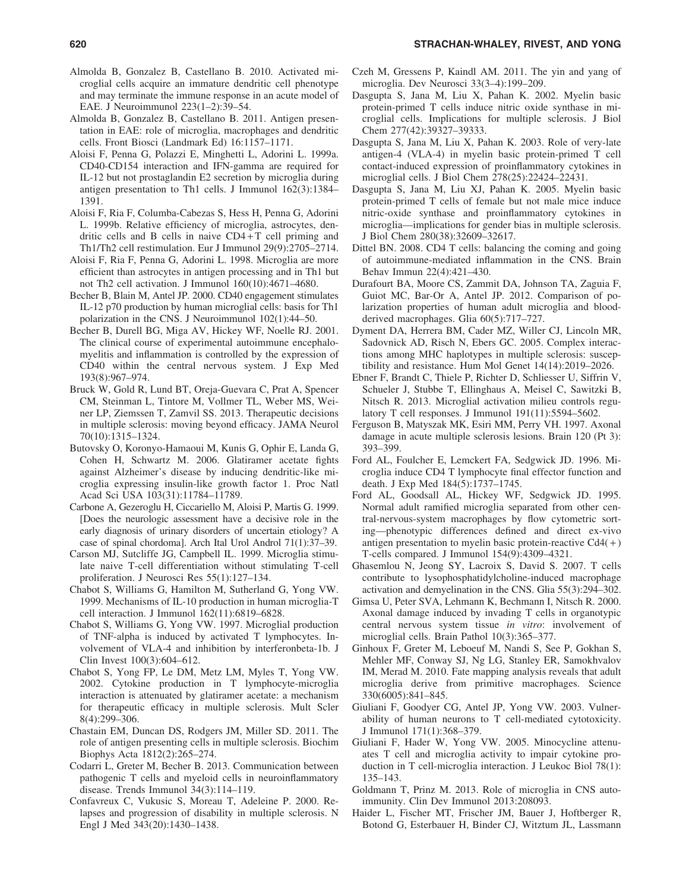- Almolda B, Gonzalez B, Castellano B. 2010. Activated microglial cells acquire an immature dendritic cell phenotype and may terminate the immune response in an acute model of EAE. J Neuroimmunol 223(1–2):39–54.
- Almolda B, Gonzalez B, Castellano B. 2011. Antigen presentation in EAE: role of microglia, macrophages and dendritic cells. Front Biosci (Landmark Ed) 16:1157–1171.
- Aloisi F, Penna G, Polazzi E, Minghetti L, Adorini L. 1999a. CD40-CD154 interaction and IFN-gamma are required for IL-12 but not prostaglandin E2 secretion by microglia during antigen presentation to Th1 cells. J Immunol 162(3):1384– 1391.
- Aloisi F, Ria F, Columba-Cabezas S, Hess H, Penna G, Adorini L. 1999b. Relative efficiency of microglia, astrocytes, dendritic cells and B cells in naive  $CD4+T$  cell priming and Th1/Th2 cell restimulation. Eur J Immunol 29(9):2705–2714.
- Aloisi F, Ria F, Penna G, Adorini L. 1998. Microglia are more efficient than astrocytes in antigen processing and in Th1 but not Th2 cell activation. J Immunol 160(10):4671–4680.
- Becher B, Blain M, Antel JP. 2000. CD40 engagement stimulates IL-12 p70 production by human microglial cells: basis for Th1 polarization in the CNS. J Neuroimmunol 102(1):44–50.
- Becher B, Durell BG, Miga AV, Hickey WF, Noelle RJ. 2001. The clinical course of experimental autoimmune encephalomyelitis and inflammation is controlled by the expression of CD40 within the central nervous system. J Exp Med 193(8):967–974.
- Bruck W, Gold R, Lund BT, Oreja-Guevara C, Prat A, Spencer CM, Steinman L, Tintore M, Vollmer TL, Weber MS, Weiner LP, Ziemssen T, Zamvil SS. 2013. Therapeutic decisions in multiple sclerosis: moving beyond efficacy. JAMA Neurol 70(10):1315–1324.
- Butovsky O, Koronyo-Hamaoui M, Kunis G, Ophir E, Landa G, Cohen H, Schwartz M. 2006. Glatiramer acetate fights against Alzheimer's disease by inducing dendritic-like microglia expressing insulin-like growth factor 1. Proc Natl Acad Sci USA 103(31):11784–11789.
- Carbone A, Gezeroglu H, Ciccariello M, Aloisi P, Martis G. 1999. [Does the neurologic assessment have a decisive role in the early diagnosis of urinary disorders of uncertain etiology? A case of spinal chordoma]. Arch Ital Urol Androl 71(1):37–39.
- Carson MJ, Sutcliffe JG, Campbell IL. 1999. Microglia stimulate naive T-cell differentiation without stimulating T-cell proliferation. J Neurosci Res 55(1):127–134.
- Chabot S, Williams G, Hamilton M, Sutherland G, Yong VW. 1999. Mechanisms of IL-10 production in human microglia-T cell interaction. J Immunol 162(11):6819–6828.
- Chabot S, Williams G, Yong VW. 1997. Microglial production of TNF-alpha is induced by activated T lymphocytes. Involvement of VLA-4 and inhibition by interferonbeta-1b. J Clin Invest 100(3):604–612.
- Chabot S, Yong FP, Le DM, Metz LM, Myles T, Yong VW. 2002. Cytokine production in T lymphocyte-microglia interaction is attenuated by glatiramer acetate: a mechanism for therapeutic efficacy in multiple sclerosis. Mult Scler 8(4):299–306.
- Chastain EM, Duncan DS, Rodgers JM, Miller SD. 2011. The role of antigen presenting cells in multiple sclerosis. Biochim Biophys Acta 1812(2):265–274.
- Codarri L, Greter M, Becher B. 2013. Communication between pathogenic T cells and myeloid cells in neuroinflammatory disease. Trends Immunol 34(3):114–119.
- Confavreux C, Vukusic S, Moreau T, Adeleine P. 2000. Relapses and progression of disability in multiple sclerosis. N Engl J Med 343(20):1430–1438.
- Czeh M, Gressens P, Kaindl AM. 2011. The yin and yang of microglia. Dev Neurosci 33(3–4):199–209.
- Dasgupta S, Jana M, Liu X, Pahan K. 2002. Myelin basic protein-primed T cells induce nitric oxide synthase in microglial cells. Implications for multiple sclerosis. J Biol Chem 277(42):39327–39333.
- Dasgupta S, Jana M, Liu X, Pahan K. 2003. Role of very-late antigen-4 (VLA-4) in myelin basic protein-primed T cell contact-induced expression of proinflammatory cytokines in microglial cells. J Biol Chem 278(25):22424–22431.
- Dasgupta S, Jana M, Liu XJ, Pahan K. 2005. Myelin basic protein-primed T cells of female but not male mice induce nitric-oxide synthase and proinflammatory cytokines in microglia—implications for gender bias in multiple sclerosis. J Biol Chem 280(38):32609–32617.
- Dittel BN. 2008. CD4 T cells: balancing the coming and going of autoimmune-mediated inflammation in the CNS. Brain Behav Immun 22(4):421–430.
- Durafourt BA, Moore CS, Zammit DA, Johnson TA, Zaguia F, Guiot MC, Bar-Or A, Antel JP. 2012. Comparison of polarization properties of human adult microglia and bloodderived macrophages. Glia 60(5):717–727.
- Dyment DA, Herrera BM, Cader MZ, Willer CJ, Lincoln MR, Sadovnick AD, Risch N, Ebers GC. 2005. Complex interactions among MHC haplotypes in multiple sclerosis: susceptibility and resistance. Hum Mol Genet 14(14):2019–2026.
- Ebner F, Brandt C, Thiele P, Richter D, Schliesser U, Siffrin V, Schueler J, Stubbe T, Ellinghaus A, Meisel C, Sawitzki B, Nitsch R. 2013. Microglial activation milieu controls regulatory T cell responses. J Immunol 191(11):5594–5602.
- Ferguson B, Matyszak MK, Esiri MM, Perry VH. 1997. Axonal damage in acute multiple sclerosis lesions. Brain 120 (Pt 3): 393–399.
- Ford AL, Foulcher E, Lemckert FA, Sedgwick JD. 1996. Microglia induce CD4 T lymphocyte final effector function and death. J Exp Med 184(5):1737–1745.
- Ford AL, Goodsall AL, Hickey WF, Sedgwick JD. 1995. Normal adult ramified microglia separated from other central-nervous-system macrophages by flow cytometric sorting—phenotypic differences defined and direct ex-vivo antigen presentation to myelin basic protein-reactive  $Cd4(+)$ T-cells compared. J Immunol 154(9):4309–4321.
- Ghasemlou N, Jeong SY, Lacroix S, David S. 2007. T cells contribute to lysophosphatidylcholine-induced macrophage activation and demyelination in the CNS. Glia 55(3):294–302.
- Gimsa U, Peter SVA, Lehmann K, Bechmann I, Nitsch R. 2000. Axonal damage induced by invading T cells in organotypic central nervous system tissue *in vitro*: involvement of microglial cells. Brain Pathol 10(3):365–377.
- Ginhoux F, Greter M, Leboeuf M, Nandi S, See P, Gokhan S, Mehler MF, Conway SJ, Ng LG, Stanley ER, Samokhvalov IM, Merad M. 2010. Fate mapping analysis reveals that adult microglia derive from primitive macrophages. Science 330(6005):841–845.
- Giuliani F, Goodyer CG, Antel JP, Yong VW. 2003. Vulnerability of human neurons to T cell-mediated cytotoxicity. J Immunol 171(1):368–379.
- Giuliani F, Hader W, Yong VW. 2005. Minocycline attenuates T cell and microglia activity to impair cytokine production in T cell-microglia interaction. J Leukoc Biol 78(1): 135–143.
- Goldmann T, Prinz M. 2013. Role of microglia in CNS autoimmunity. Clin Dev Immunol 2013:208093.
- Haider L, Fischer MT, Frischer JM, Bauer J, Hoftberger R, Botond G, Esterbauer H, Binder CJ, Witztum JL, Lassmann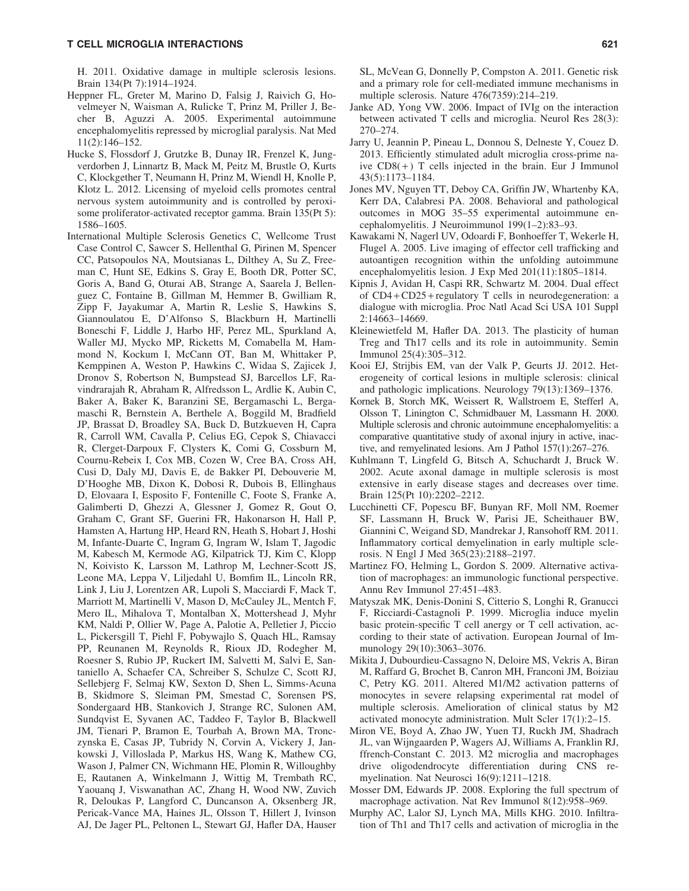H. 2011. Oxidative damage in multiple sclerosis lesions. Brain 134(Pt 7):1914–1924.

- Heppner FL, Greter M, Marino D, Falsig J, Raivich G, Hovelmeyer N, Waisman A, Rulicke T, Prinz M, Priller J, Becher B, Aguzzi A. 2005. Experimental autoimmune encephalomyelitis repressed by microglial paralysis. Nat Med 11(2):146–152.
- Hucke S, Flossdorf J, Grutzke B, Dunay IR, Frenzel K, Jungverdorben J, Linnartz B, Mack M, Peitz M, Brustle O, Kurts C, Klockgether T, Neumann H, Prinz M, Wiendl H, Knolle P, Klotz L. 2012. Licensing of myeloid cells promotes central nervous system autoimmunity and is controlled by peroxisome proliferator-activated receptor gamma. Brain 135(Pt 5): 1586–1605.
- International Multiple Sclerosis Genetics C, Wellcome Trust Case Control C, Sawcer S, Hellenthal G, Pirinen M, Spencer CC, Patsopoulos NA, Moutsianas L, Dilthey A, Su Z, Freeman C, Hunt SE, Edkins S, Gray E, Booth DR, Potter SC, Goris A, Band G, Oturai AB, Strange A, Saarela J, Bellenguez C, Fontaine B, Gillman M, Hemmer B, Gwilliam R, Zipp F, Jayakumar A, Martin R, Leslie S, Hawkins S, Giannoulatou E, D'Alfonso S, Blackburn H, Martinelli Boneschi F, Liddle J, Harbo HF, Perez ML, Spurkland A, Waller MJ, Mycko MP, Ricketts M, Comabella M, Hammond N, Kockum I, McCann OT, Ban M, Whittaker P, Kemppinen A, Weston P, Hawkins C, Widaa S, Zajicek J, Dronov S, Robertson N, Bumpstead SJ, Barcellos LF, Ravindrarajah R, Abraham R, Alfredsson L, Ardlie K, Aubin C, Baker A, Baker K, Baranzini SE, Bergamaschi L, Bergamaschi R, Bernstein A, Berthele A, Boggild M, Bradfield JP, Brassat D, Broadley SA, Buck D, Butzkueven H, Capra R, Carroll WM, Cavalla P, Celius EG, Cepok S, Chiavacci R, Clerget-Darpoux F, Clysters K, Comi G, Cossburn M, Cournu-Rebeix I, Cox MB, Cozen W, Cree BA, Cross AH, Cusi D, Daly MJ, Davis E, de Bakker PI, Debouverie M, D'Hooghe MB, Dixon K, Dobosi R, Dubois B, Ellinghaus D, Elovaara I, Esposito F, Fontenille C, Foote S, Franke A, Galimberti D, Ghezzi A, Glessner J, Gomez R, Gout O, Graham C, Grant SF, Guerini FR, Hakonarson H, Hall P, Hamsten A, Hartung HP, Heard RN, Heath S, Hobart J, Hoshi M, Infante-Duarte C, Ingram G, Ingram W, Islam T, Jagodic M, Kabesch M, Kermode AG, Kilpatrick TJ, Kim C, Klopp N, Koivisto K, Larsson M, Lathrop M, Lechner-Scott JS, Leone MA, Leppa V, Liljedahl U, Bomfim IL, Lincoln RR, Link J, Liu J, Lorentzen AR, Lupoli S, Macciardi F, Mack T, Marriott M, Martinelli V, Mason D, McCauley JL, Mentch F, Mero IL, Mihalova T, Montalban X, Mottershead J, Myhr KM, Naldi P, Ollier W, Page A, Palotie A, Pelletier J, Piccio L, Pickersgill T, Piehl F, Pobywajlo S, Quach HL, Ramsay PP, Reunanen M, Reynolds R, Rioux JD, Rodegher M, Roesner S, Rubio JP, Ruckert IM, Salvetti M, Salvi E, Santaniello A, Schaefer CA, Schreiber S, Schulze C, Scott RJ, Sellebjerg F, Selmaj KW, Sexton D, Shen L, Simms-Acuna B, Skidmore S, Sleiman PM, Smestad C, Sorensen PS, Sondergaard HB, Stankovich J, Strange RC, Sulonen AM, Sundqvist E, Syvanen AC, Taddeo F, Taylor B, Blackwell JM, Tienari P, Bramon E, Tourbah A, Brown MA, Tronczynska E, Casas JP, Tubridy N, Corvin A, Vickery J, Jankowski J, Villoslada P, Markus HS, Wang K, Mathew CG, Wason J, Palmer CN, Wichmann HE, Plomin R, Willoughby E, Rautanen A, Winkelmann J, Wittig M, Trembath RC, Yaouanq J, Viswanathan AC, Zhang H, Wood NW, Zuvich R, Deloukas P, Langford C, Duncanson A, Oksenberg JR, Pericak-Vance MA, Haines JL, Olsson T, Hillert J, Ivinson AJ, De Jager PL, Peltonen L, Stewart GJ, Hafler DA, Hauser
- Janke AD, Yong VW. 2006. Impact of IVIg on the interaction between activated T cells and microglia. Neurol Res 28(3): 270–274.
- Jarry U, Jeannin P, Pineau L, Donnou S, Delneste Y, Couez D. 2013. Efficiently stimulated adult microglia cross-prime naive  $CD8(+)$  T cells injected in the brain. Eur J Immunol 43(5):1173–1184.
- Jones MV, Nguyen TT, Deboy CA, Griffin JW, Whartenby KA, Kerr DA, Calabresi PA. 2008. Behavioral and pathological outcomes in MOG 35–55 experimental autoimmune encephalomyelitis. J Neuroimmunol 199(1–2):83–93.
- Kawakami N, Nagerl UV, Odoardi F, Bonhoeffer T, Wekerle H, Flugel A. 2005. Live imaging of effector cell trafficking and autoantigen recognition within the unfolding autoimmune encephalomyelitis lesion. J Exp Med 201(11):1805–1814.
- Kipnis J, Avidan H, Caspi RR, Schwartz M. 2004. Dual effect of CD4 + CD25 + regulatory T cells in neurodegeneration: a dialogue with microglia. Proc Natl Acad Sci USA 101 Suppl 2:14663–14669.
- Kleinewietfeld M, Hafler DA. 2013. The plasticity of human Treg and Th17 cells and its role in autoimmunity. Semin Immunol 25(4):305–312.
- Kooi EJ, Strijbis EM, van der Valk P, Geurts JJ. 2012. Heterogeneity of cortical lesions in multiple sclerosis: clinical and pathologic implications. Neurology 79(13):1369–1376.
- Kornek B, Storch MK, Weissert R, Wallstroem E, Stefferl A, Olsson T, Linington C, Schmidbauer M, Lassmann H. 2000. Multiple sclerosis and chronic autoimmune encephalomyelitis: a comparative quantitative study of axonal injury in active, inactive, and remyelinated lesions. Am J Pathol 157(1):267–276.
- Kuhlmann T, Lingfeld G, Bitsch A, Schuchardt J, Bruck W. 2002. Acute axonal damage in multiple sclerosis is most extensive in early disease stages and decreases over time. Brain 125(Pt 10):2202–2212.
- Lucchinetti CF, Popescu BF, Bunyan RF, Moll NM, Roemer SF, Lassmann H, Bruck W, Parisi JE, Scheithauer BW, Giannini C, Weigand SD, Mandrekar J, Ransohoff RM. 2011. Inflammatory cortical demyelination in early multiple sclerosis. N Engl J Med 365(23):2188–2197.
- Martinez FO, Helming L, Gordon S. 2009. Alternative activation of macrophages: an immunologic functional perspective. Annu Rev Immunol 27:451–483.
- Matyszak MK, Denis-Donini S, Citterio S, Longhi R, Granucci F, Ricciardi-Castagnoli P. 1999. Microglia induce myelin basic protein-specific T cell anergy or T cell activation, according to their state of activation. European Journal of Immunology 29(10):3063–3076.
- Mikita J, Dubourdieu-Cassagno N, Deloire MS, Vekris A, Biran M, Raffard G, Brochet B, Canron MH, Franconi JM, Boiziau C, Petry KG. 2011. Altered M1/M2 activation patterns of monocytes in severe relapsing experimental rat model of multiple sclerosis. Amelioration of clinical status by M2 activated monocyte administration. Mult Scler 17(1):2–15.
- Miron VE, Boyd A, Zhao JW, Yuen TJ, Ruckh JM, Shadrach JL, van Wijngaarden P, Wagers AJ, Williams A, Franklin RJ, ffrench-Constant C. 2013. M2 microglia and macrophages drive oligodendrocyte differentiation during CNS remyelination. Nat Neurosci 16(9):1211–1218.
- Mosser DM, Edwards JP. 2008. Exploring the full spectrum of macrophage activation. Nat Rev Immunol 8(12):958–969.
- Murphy AC, Lalor SJ, Lynch MA, Mills KHG. 2010. Infiltration of Th1 and Th17 cells and activation of microglia in the